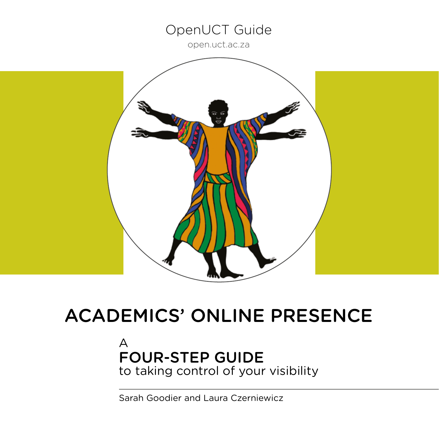## OpenUCT Guide

<open.uct.ac.za>



# ACADEMICS' ONLINE PRESENCE

## A FOUR-STEP GUIDE to taking control of your visibility

Sarah Goodier and Laura Czerniewicz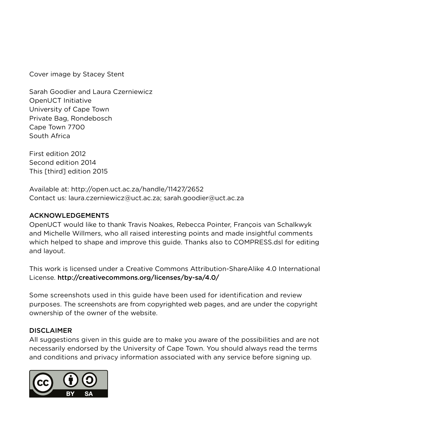Cover image by Stacey Stent

Sarah Goodier and Laura Czerniewicz OpenUCT Initiative University of Cape Town Private Bag, Rondebosch Cape Town 7700 South Africa

First edition 2012 Second edition 2014 This [third] edition 2015

Available at: http://open.uct.ac.za/handle/11427/2652 Contact us: laura.czerniewicz@uct.ac.za; sarah.goodier@uct.ac.za

#### ACKNOWLEDGEMENTS

OpenUCT would like to thank Travis Noakes, Rebecca Pointer, François van Schalkwyk and Michelle Willmers, who all raised interesting points and made insightful comments which helped to shape and improve this guide. Thanks also to COMPRESS.dsl for editing and layout.

This work is licensed under a Creative Commons Attribution-ShareAlike 4.0 International License. http://creativecommons.org/licenses/by-sa/4.0/

Some screenshots used in this guide have been used for identification and review purposes. The screenshots are from copyrighted web pages, and are under the copyright ownership of the owner of the website.

#### DISCLAIMER

All suggestions given in this guide are to make you aware of the possibilities and are not necessarily endorsed by the University of Cape Town. You should always read the terms and conditions and privacy information associated with any service before signing up.

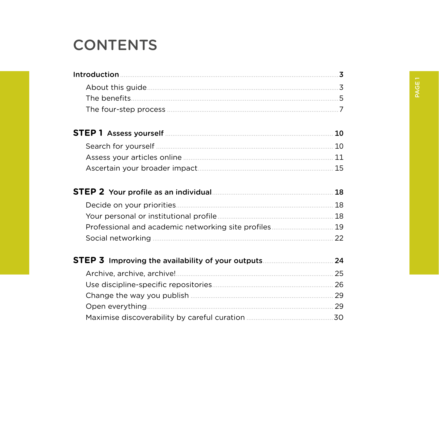# **CONTENTS**

| STEP 1 Assess yourself [11] Assess yourself [11] Assess your set of the set of the set of the set of the set of the set of the set of the set of the set of the set of the set of the set of the set of the set of the set of |    |
|-------------------------------------------------------------------------------------------------------------------------------------------------------------------------------------------------------------------------------|----|
|                                                                                                                                                                                                                               |    |
|                                                                                                                                                                                                                               |    |
|                                                                                                                                                                                                                               |    |
|                                                                                                                                                                                                                               | 18 |
|                                                                                                                                                                                                                               |    |
|                                                                                                                                                                                                                               |    |
| Professional and academic networking site profiles 19                                                                                                                                                                         |    |
|                                                                                                                                                                                                                               |    |
|                                                                                                                                                                                                                               |    |
|                                                                                                                                                                                                                               |    |
|                                                                                                                                                                                                                               |    |
|                                                                                                                                                                                                                               |    |
|                                                                                                                                                                                                                               |    |
|                                                                                                                                                                                                                               |    |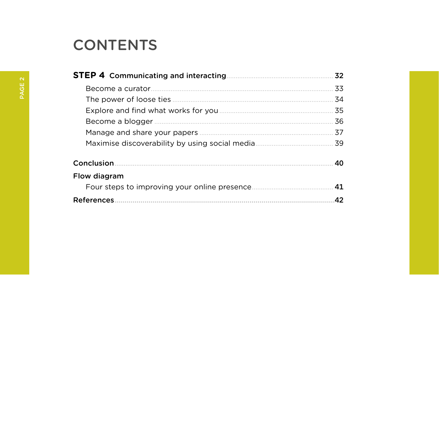# **CONTENTS**

|                         | 32 |
|-------------------------|----|
| Become a curator        | 33 |
| The power of loose ties | 34 |
|                         | 35 |
|                         | 36 |
|                         | 37 |
|                         | 39 |
| Conclusion              | 40 |
| Flow diagram            |    |
|                         | 41 |
| <b>References</b>       | 42 |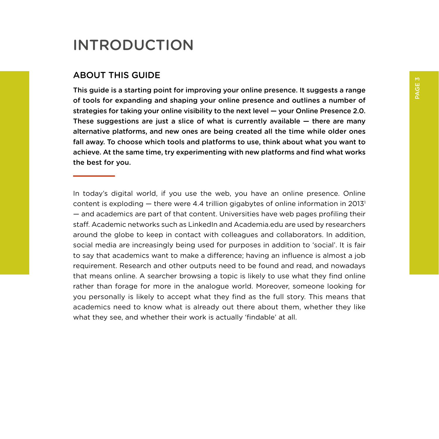# PAGE 3

## <span id="page-4-0"></span>INTRODUCTION

#### ABOUT THIS GUIDE

This guide is a starting point for improving your online presence. It suggests a range of tools for expanding and shaping your online presence and outlines a number of strategies for taking your online visibility to the next level — your Online Presence 2.0. These suggestions are just a slice of what is currently available  $-$  there are many alternative platforms, and new ones are being created all the time while older ones fall away. To choose which tools and platforms to use, think about what you want to achieve. At the same time, try experimenting with new platforms and find what works the best for you.

In today's digital world, if you use the web, you have an online presence. Online content is exploding  $-$  there were 4.4 trillion gigabytes of online information in 2013<sup>1</sup> — and academics are part of that content. Universities have web pages profiling their staff. Academic networks such as LinkedIn and Academia.edu are used by researchers around the globe to keep in contact with colleagues and collaborators. In addition, social media are increasingly being used for purposes in addition to 'social'. It is fair to say that academics want to make a difference; having an influence is almost a job requirement. Research and other outputs need to be found and read, and nowadays that means online. A searcher browsing a topic is likely to use what they find online rather than forage for more in the analogue world. Moreover, someone looking for you personally is likely to accept what they find as the full story. This means that academics need to know what is already out there about them, whether they like what they see, and whether their work is actually 'findable' at all.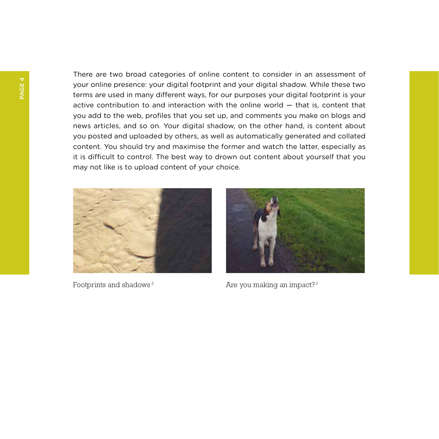There are two broad categories of online content to consider in an assessment of your online presence: your digital footprint and your digital shadow. While these two terms are used in many different ways, for our purposes your digital footprint is your active contribution to and interaction with the online world — that is, content that you add to the web, profiles that you set up, and comments you make on blogs and news articles, and so on. Your digital shadow, on the other hand, is content about you posted and uploaded by others, as well as automatically generated and collated content. You should try and maximise the former and watch the latter, especially as it is difficult to control. The best way to drown out content about yourself that you may not like is to upload content of your choice.





Footprints and shadows<sup>2</sup> Are you making an impact?<sup>3</sup>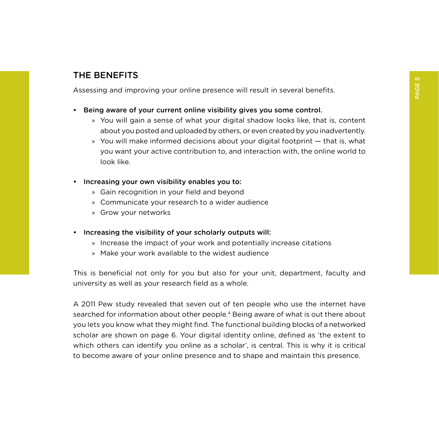## <span id="page-6-0"></span>THE BENEFITS

Assessing and improving your online presence will result in several benefits.

- Being aware of your current online visibility gives you some control.
	- » You will gain a sense of what your digital shadow looks like, that is, content about you posted and uploaded by others, or even created by you inadvertently.
	- » You will make informed decisions about your digital footprint that is, what you want your active contribution to, and interaction with, the online world to look like.
- Increasing your own visibility enables you to:
	- » Gain recognition in your field and beyond
	- » Communicate your research to a wider audience
	- » Grow your networks
- Increasing the visibility of your scholarly outputs will:
	- » Increase the impact of your work and potentially increase citations
	- » Make your work available to the widest audience

This is beneficial not only for you but also for your unit, department, faculty and university as well as your research field as a whole.

A 2011 Pew study revealed that seven out of ten people who use the internet have searched for information about other people.4 Being aware of what is out there about you lets you know what they might find. The functional building blocks of a networked scholar are shown on page 6. Your digital identity online, defined as 'the extent to which others can identify you online as a scholar', is central. This is why it is critical to become aware of your online presence and to shape and maintain this presence.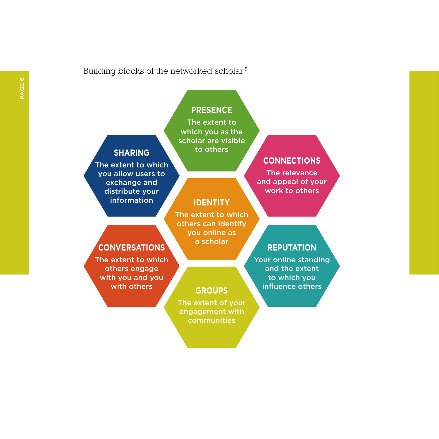#### Building blocks of the networked scholar <sup>5</sup>

## **PRESENCE**

The extent to which you as the scholar are visible to others

The extent to which you allow users to exchange and distribute your information

### **CONNECTIONS**

The relevance and appeal of your work to others

## **SHARING**

## **IDENTITY**

The extent to which others can identify you online as a scholar

## **CONVERSATIONS**

The extent to which others engage with you and you with others

## **GROUPS**

The extent of your engagement with communities

#### **REPUTATION**

Your online standing and the extent to which you influence others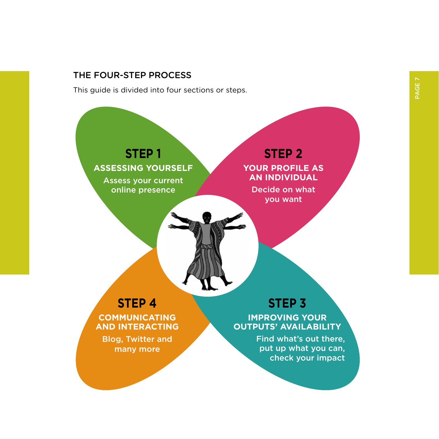## <span id="page-8-0"></span>THE FOUR-STEP PROCESS

This guide is divided into four sections or steps.

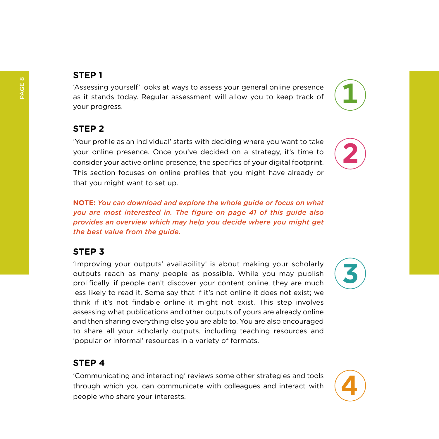## **STEP 1**

'Assessing yourself' looks at ways to assess your general online presence as it stands today. Regular assessment will allow you to keep track of your progress.

## **STEP 2**

'Your profile as an individual' starts with deciding where you want to take your online presence. Once you've decided on a strategy, it's time to consider your active online presence, the specifics of your digital footprint. This section focuses on online profiles that you might have already or that you might want to set up.

**NOTE:** *You can download and explore the whole guide or focus on what you are most interested in. The figure on page 41 of this guide also provides an overview which may help you decide where you might get the best value from the guide.*

## **STEP 3**

'Improving your outputs' availability' is about making your scholarly outputs reach as many people as possible. While you may publish prolifically, if people can't discover your content online, they are much less likely to read it. Some say that if it's not online it does not exist; we think if it's not findable online it might not exist. This step involves assessing what publications and other outputs of yours are already online and then sharing everything else you are able to. You are also encouraged to share all your scholarly outputs, including teaching resources and 'popular or informal' resources in a variety of formats.

## **STEP 4**

'Communicating and interacting' reviews some other strategies and tools through which you can communicate with colleagues and interact with people who share your interests.

PAGE 8







**2**

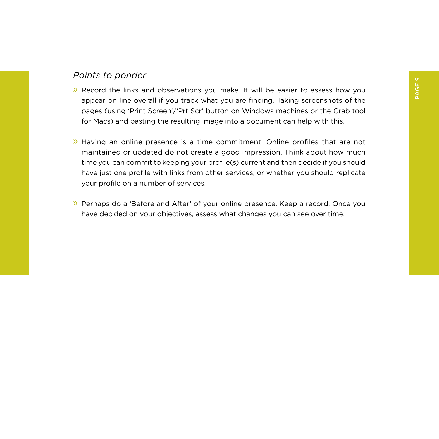### *Points to ponder*

- » Record the links and observations you make. It will be easier to assess how you appear on line overall if you track what you are finding. Taking screenshots of the pages (using 'Print Screen'/'Prt Scr' button on Windows machines or the Grab tool for Macs) and pasting the resulting image into a document can help with this.
- » Having an online presence is a time commitment. Online profiles that are not maintained or updated do not create a good impression. Think about how much time you can commit to keeping your profile(s) current and then decide if you should have just one profile with links from other services, or whether you should replicate your profile on a number of services.
- » Perhaps do a 'Before and After' of your online presence. Keep a record. Once you have decided on your objectives, assess what changes you can see over time.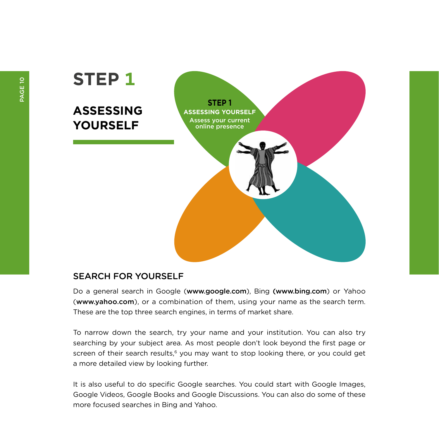<span id="page-11-0"></span>

#### SEARCH FOR YOURSELF

Do a general search in Google (www.google.com), Bing (www.bing.com) or Yahoo (www.yahoo.com), or a combination of them, using your name as the search term. These are the top three search engines, in terms of market share.

To narrow down the search, try your name and your institution. You can also try searching by your subject area. As most people don't look beyond the first page or screen of their search results,<sup>6</sup> you may want to stop looking there, or you could get a more detailed view by looking further.

It is also useful to do specific Google searches. You could start with Google Images, Google Videos, Google Books and Google Discussions. You can also do some of these more focused searches in Bing and Yahoo.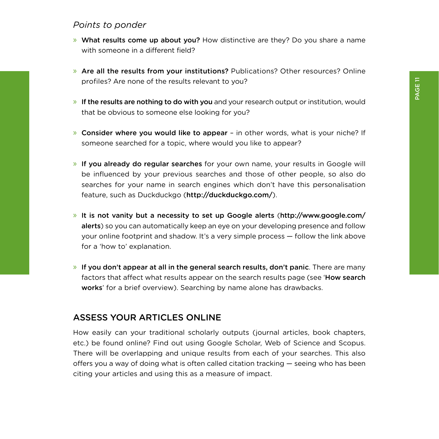#### <span id="page-12-0"></span>*Points to ponder*

- » What results come up about you? How distinctive are they? Do you share a name with someone in a different field?
- » Are all the results from your institutions? Publications? Other resources? Online profiles? Are none of the results relevant to you?
- » If the results are nothing to do with you and your research output or institution, would that be obvious to someone else looking for you?
- » Consider where you would like to appear in other words, what is your niche? If someone searched for a topic, where would you like to appear?
- » If you already do regular searches for your own name, your results in Google will be influenced by your previous searches and those of other people, so also do searches for your name in search engines which don't have this personalisation feature, such as Duckduckgo (<http://duckduckgo.com/>).
- » It is not vanity but a necessity to set up Google alerts ([http://www.google.com/](http://www.google.com/alerts) [alerts](http://www.google.com/alerts)) so you can automatically keep an eye on your developing presence and follow your online footprint and shadow. It's a very simple process — follow the link above for a 'how to' explanation.
- $\lambda$  If you don't appear at all in the general search results, don't panic. There are many factors that affect what results appear on the search results page (see '[How search](http://www.youtube.com/watch?v=BNHR6IQJGZs&feature=youtu.be) [work](http://www.youtube.com/watch?v=BNHR6IQJGZs&feature=youtu.be)s' for a brief overview). Searching by name alone has drawbacks.

#### ASSESS YOUR ARTICLES ONLINE

How easily can your traditional scholarly outputs (journal articles, book chapters, etc.) be found online? Find out using Google Scholar, Web of Science and Scopus. There will be overlapping and unique results from each of your searches. This also offers you a way of doing what is often called citation tracking — seeing who has been citing your articles and using this as a measure of impact.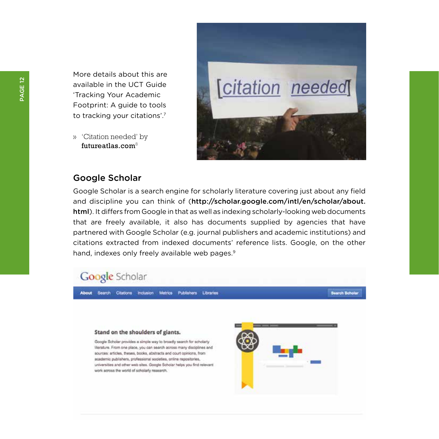More details about this are available in the UCT Guide 'Tracking Your Academic Footprint: A guide to tools to tracking your citations'.7

» 'Citation needed' by <futureatlas.com> $8$ 



#### Google Scholar

Google Scholar is a search engine for scholarly literature covering just about any field and discipline you can think of ([http://scholar.google.com/intl/en/scholar/about.](http://scholar.google.com/intl/en/scholar/about.html) [html](http://scholar.google.com/intl/en/scholar/about.html)). It differs from Google in that as well as indexing scholarly-looking web documents that are freely available, it also has documents supplied by agencies that have partnered with Google Scholar (e.g. journal publishers and academic institutions) and citations extracted from indexed documents' reference lists. Google, on the other hand, indexes only freely available web pages.<sup>9</sup>

## Google Scholar

About Search Citations Inclusion Metrics Publishers Libraries

Search Schok

#### Stand on the shoulders of giants.

Google Scholar provides a simple way to broadly search for scholarly literature. From one place, you can search across many disciplines and sources: articles, theses, books, abstracts and court opinions, from academic publishers, professional societies, online repositories, universities and other web sites. Google Scholar helps you find relevant work scross the world of scholarly research.

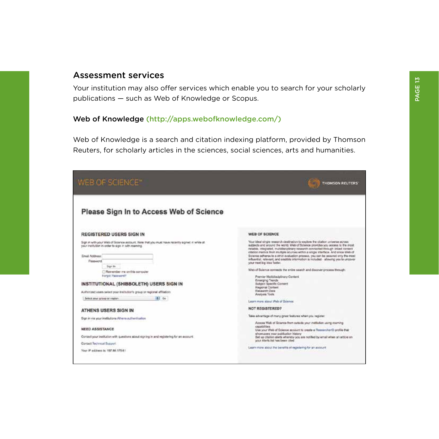#### Assessment services

Your institution may also offer services which enable you to search for your scholarly publications — such as Web of Knowledge or Scopus.

#### Web of Knowledge (<http://apps.webofknowledge.com/>)

Web of Knowledge is a search and citation indexing platform, provided by Thomson Reuters, for scholarly articles in the sciences, social sciences, arts and humanities.

| WEB OF SCIENCE"                                                                                                                                                                                                                                                                                                                                                                                                   | THOMSON RELITERS                                                                                                                                                                                                                                                                                                                                                                                                                                                                                                                                                                                                                                                                                                                                                                                                         |
|-------------------------------------------------------------------------------------------------------------------------------------------------------------------------------------------------------------------------------------------------------------------------------------------------------------------------------------------------------------------------------------------------------------------|--------------------------------------------------------------------------------------------------------------------------------------------------------------------------------------------------------------------------------------------------------------------------------------------------------------------------------------------------------------------------------------------------------------------------------------------------------------------------------------------------------------------------------------------------------------------------------------------------------------------------------------------------------------------------------------------------------------------------------------------------------------------------------------------------------------------------|
| Please Sign In to Access Web of Science                                                                                                                                                                                                                                                                                                                                                                           |                                                                                                                                                                                                                                                                                                                                                                                                                                                                                                                                                                                                                                                                                                                                                                                                                          |
| <b>REGISTERED USERS SIGN IN</b>                                                                                                                                                                                                                                                                                                                                                                                   | WEB OF SCIENCE                                                                                                                                                                                                                                                                                                                                                                                                                                                                                                                                                                                                                                                                                                                                                                                                           |
| Sign in with your Web of Science account. Nete that you must have recently signed in white at<br>your institution in order to sign in with roaming.<br>Email Address:<br>Password<br>Gun ks<br>Remember me on this computer<br>Forald Password?<br>INSTITUTIONAL (SHIBBOLETH) USERS SIGN IN<br>Authorized users select your institution's group or regional affiliation.<br>al Ge<br>Select your cross or region. | Your ideal single research cestination to explore the citation universe across<br>subjects and around the world. Web of Science provides you access to the most<br>retablik integrated, multidisciplinary nisearch connected through inked contest.<br>obzion mentos trom multiple sources within a single interface. And since Web of<br>Science adheres to a strict availablor process, yes can be assured only the most<br>influential, relevant, and eradible information is included - allowing you to uncover<br>your next big idea faster.<br>Web of Science connects the entire search and discover process through:<br>Premier Multidisciplinary Contact<br>Emerging Trends<br>Sublett Specific Consent<br><b><i>Hasjonal Contest</i></b><br>Research Data<br>Analysis Tools<br>Learn more spout Web of Golence |
| ATHENS USERS SIGN IN                                                                                                                                                                                                                                                                                                                                                                                              | NOT REGISTERED?                                                                                                                                                                                                                                                                                                                                                                                                                                                                                                                                                                                                                                                                                                                                                                                                          |
| Sign in via your institutions Athens authentication                                                                                                                                                                                                                                                                                                                                                               | Take advantage of many great features when you neglister.<br>Accora Web of Science from culture your meltuben using roaming                                                                                                                                                                                                                                                                                                                                                                                                                                                                                                                                                                                                                                                                                              |
| NEED ASSISTANCE<br>Cortact your institution with questions about signing in and registering for an account.<br>Contact Technical Successi<br>Your IP address by 1927-86 1775-61                                                                                                                                                                                                                                   | cecebilities.<br>Use your Web of Science account to create a ResearchertD profile that<br>showcases your publication history<br>Set up otation alwits whereby you are notified by email when an article on<br>your Alerts list has been otted<br>Learn more about the banafits of registering for an account.                                                                                                                                                                                                                                                                                                                                                                                                                                                                                                            |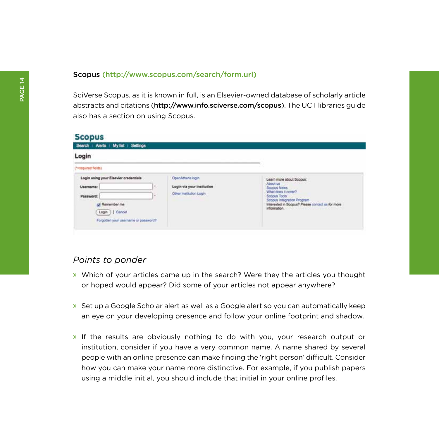#### Scopus (http://www.scopus.com/search/form.url)

SciVerse Scopus, as it is known in full, is an Elsevier-owned database of scholarly article abstracts and citations (http://www.info.sciverse.com/scopus). The UCT libraries guide also has a section on using Scopus.

| Login                                                                                                                                            |                                                                                               |                                                                                                                                                                                                                                                                                                                                                                                                                                                                                                  |
|--------------------------------------------------------------------------------------------------------------------------------------------------|-----------------------------------------------------------------------------------------------|--------------------------------------------------------------------------------------------------------------------------------------------------------------------------------------------------------------------------------------------------------------------------------------------------------------------------------------------------------------------------------------------------------------------------------------------------------------------------------------------------|
| Terequired fields)                                                                                                                               |                                                                                               |                                                                                                                                                                                                                                                                                                                                                                                                                                                                                                  |
| Login using your Elsevier credentials<br>Username:<br>Password:<br>uf Remember me<br>1   Cancel<br>Login<br>Forgotten your username or password? | OpenAthens login<br>Login via your institution<br>$\sim$<br>Other Institution Login<br>$\sim$ | and the state was awarded to the control of<br>Learn more about Scopus:<br>About us and a series of the series<br>Scopus News<br>What does it cover?<br>Scoous Tools<br><b>Ecopias Integration Program</b><br>Interested in Scopus? Please contact us for more<br>information. The contract of the contract of the contract of the contract of the contract of the contract of the contract of the contract of the contract of the contract of the contract of the contract of the contract of t |

#### *Points to ponder*

- » Which of your articles came up in the search? Were they the articles you thought or hoped would appear? Did some of your articles not appear anywhere?
- » Set up a Google Scholar alert as well as a Google alert so you can automatically keep an eye on your developing presence and follow your online footprint and shadow.
- » If the results are obviously nothing to do with you, your research output or institution, consider if you have a very common name. A name shared by several people with an online presence can make finding the 'right person' difficult. Consider how you can make your name more distinctive. For example, if you publish papers using a middle initial, you should include that initial in your online profiles.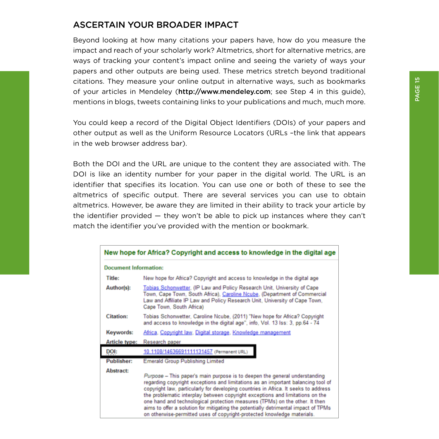## <span id="page-16-0"></span>ASCERTAIN YOUR BROADER IMPACT

Beyond looking at how many citations your papers have, how do you measure the impact and reach of your scholarly work? Altmetrics, short for alternative metrics, are ways of tracking your content's impact online and seeing the variety of ways your papers and other outputs are being used. These metrics stretch beyond traditional citations. They measure your online output in alternative ways, such as bookmarks of your articles in Mendeley (http://www.mendeley.com; see Step 4 in this guide), mentions in blogs, tweets containing links to your publications and much, much more.

You could keep a record of the Digital Object Identifiers (DOIs) of your papers and other output as well as the Uniform Resource Locators (URLs –the link that appears in the web browser address bar).

Both the DOI and the URL are unique to the content they are associated with. The DOI is like an identity number for your paper in the digital world. The URL is an identifier that specifies its location. You can use one or both of these to see the altmetrics of specific output. There are several services you can use to obtain altmetrics. However, be aware they are limited in their ability to track your article by the identifier provided — they won't be able to pick up instances where they can't match the identifier you've provided with the mention or bookmark.

|                              | New hope for Africa? Copyright and access to knowledge in the digital age                                                                                                                                                                                                                                                                                                                                                                                                                                                                                                              |
|------------------------------|----------------------------------------------------------------------------------------------------------------------------------------------------------------------------------------------------------------------------------------------------------------------------------------------------------------------------------------------------------------------------------------------------------------------------------------------------------------------------------------------------------------------------------------------------------------------------------------|
| <b>Document Information:</b> |                                                                                                                                                                                                                                                                                                                                                                                                                                                                                                                                                                                        |
| Title:                       | New hope for Africa? Copyright and access to knowledge in the digital age                                                                                                                                                                                                                                                                                                                                                                                                                                                                                                              |
| Author(s):                   | Tobias Schonwetter, (IP Law and Policy Research Unit, University of Cape<br>Town, Cape Town, South Africa), Caroline Ncube, (Department of Commercial<br>Law and Affiliate IP Law and Policy Research Unit, University of Cape Town,<br>Cape Town, South Africa)                                                                                                                                                                                                                                                                                                                       |
| <b>Citation:</b>             | Tobias Schonwetter, Caroline Ncube, (2011) "New hope for Africa? Copyright<br>and access to knowledge in the digital age", info, Vol. 13 lss: 3, pp.64 - 74                                                                                                                                                                                                                                                                                                                                                                                                                            |
| Keywords:                    | Africa, Copyright law, Digital storage, Knowledge management                                                                                                                                                                                                                                                                                                                                                                                                                                                                                                                           |
| <b>Article type:</b>         | Research paper                                                                                                                                                                                                                                                                                                                                                                                                                                                                                                                                                                         |
| DOI:                         | 10.1108/14636691111131457 (Permanent URL)                                                                                                                                                                                                                                                                                                                                                                                                                                                                                                                                              |
| <b>Publisher:</b>            | <b>Emerald Group Publishing Limited</b>                                                                                                                                                                                                                                                                                                                                                                                                                                                                                                                                                |
| <b>Abstract:</b>             | Purpose - This paper's main purpose is to deepen the general understanding<br>regarding copyright exceptions and limitations as an important balancing tool of<br>copyright law, particularly for developing countries in Africa. It seeks to address<br>the problematic interplay between copyright exceptions and limitations on the<br>one hand and technological protection measures (TPMs) on the other. It then<br>aims to offer a solution for mitigating the potentially detrimental impact of TPMs<br>on otherwise-permitted uses of copyright-protected knowledge materials. |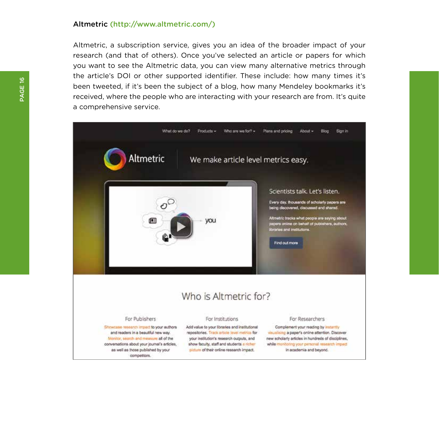#### Altmetric (http://www.altmetric.com/)

Altmetric, a subscription service, gives you an idea of the broader impact of your research (and that of others). Once you've selected an article or papers for which you want to see the Altmetric data, you can view many alternative metrics through the article's DOI or other supported identifier. These include: how many times it's been tweeted, if it's been the subject of a blog, how many Mendeley bookmarks it's received, where the people who are interacting with your research are from. It's quite a comprehensive service.

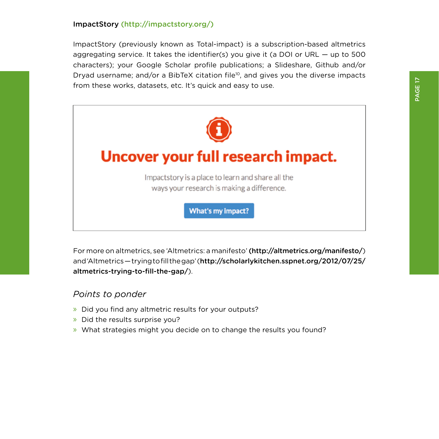#### ImpactStory (http://impactstory.org/)

ImpactStory (previously known as Total-impact) is a subscription-based altmetrics aggregating service. It takes the identifier(s) you give it (a DOI or URL — up to 500 characters); your Google Scholar profile publications; a Slideshare, Github and/or Dryad username; and/or a BibTeX citation file<sup>10</sup>, and gives you the diverse impacts from these works, datasets, etc. It's quick and easy to use.



For more on altmetrics, see 'Altmetrics: a manifesto' (http://altmetrics.org/manifesto/) and 'Altmetrics — trying to fill the gap' ([http://scholarlykitchen.sspnet.org/2012/07/25/](http://scholarlykitchen.sspnet.org/2012/07/25/altmetrics) [altmetrics-](http://scholarlykitchen.sspnet.org/2012/07/25/altmetrics)trying-to-fill-the-gap/).

#### *Points to ponder*

- » Did you find any altmetric results for your outputs?
- » Did the results surprise you?
- » What strategies might you decide on to change the results you found?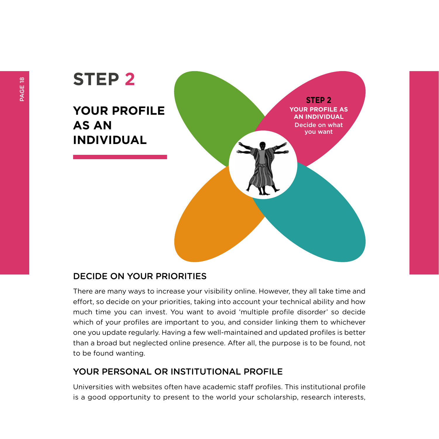# <span id="page-19-0"></span>**STEP 2 YOUR PROFILE AS AN INDIVIDUAL STEP 2 YOUR PROFILE AS AN INDIVIDUAL** Decide on what you want

## DECIDE ON YOUR PRIORITIES

There are many ways to increase your visibility online. However, they all take time and effort, so decide on your priorities, taking into account your technical ability and how much time you can invest. You want to avoid 'multiple profile disorder' so decide which of your profiles are important to you, and consider linking them to whichever one you update regularly. Having a few well-maintained and updated profiles is better than a broad but neglected online presence. After all, the purpose is to be found, not to be found wanting.

## YOUR PERSONAL OR INSTITUTIONAL PROFILE

Universities with websites often have academic staff profiles. This institutional profile is a good opportunity to present to the world your scholarship, research interests,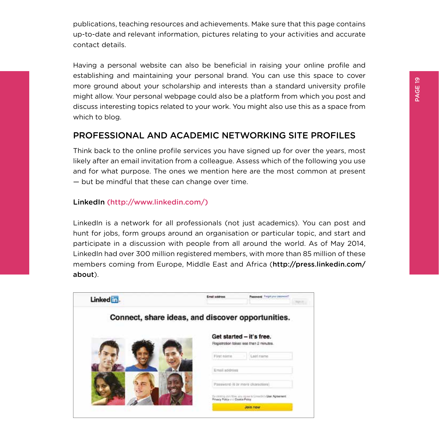<span id="page-20-0"></span>publications, teaching resources and achievements. Make sure that this page contains up-to-date and relevant information, pictures relating to your activities and accurate contact details.

Having a personal website can also be beneficial in raising your online profile and establishing and maintaining your personal brand. You can use this space to cover more ground about your scholarship and interests than a standard university profile might allow. Your personal webpage could also be a platform from which you post and discuss interesting topics related to your work. You might also use this as a space from which to blog.

## PROFESSIONAL AND ACADEMIC NETWORKING SITE PROFILES

Think back to the online profile services you have signed up for over the years, most likely after an email invitation from a colleague. Assess which of the following you use and for what purpose. The ones we mention here are the most common at present — but be mindful that these can change over time.

#### LinkedIn (http://www.linkedin.com/)

LinkedIn is a network for all professionals (not just academics). You can post and hunt for jobs, form groups around an organisation or particular topic, and start and participate in a discussion with people from all around the world. As of May 2014, LinkedIn had over 300 million registered members, with more than 85 million of these members coming from Europe, Middle East and Africa (http://press.linkedin.com/ about).

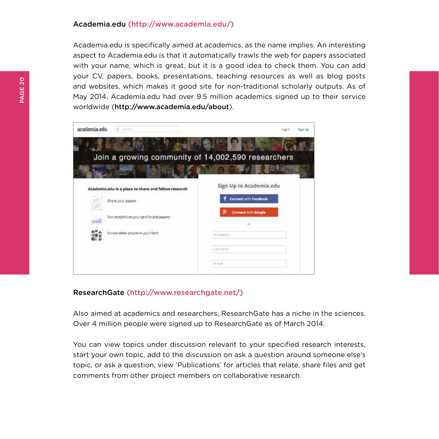#### Academia.edu (http://www.academia.edu/)

Academia.edu is specifically aimed at academics, as the name implies. An interesting aspect to Academia.edu is that it automatically trawls the web for papers associated with your name, which is great, but it is a good idea to check them. You can add your CV, papers, books, presentations, teaching resources as well as blog posts and websites, which makes it good site for non-traditional scholarly outputs. As of May 2014, Academia.edu had over 9.5 million academics signed up to their service worldwide (http://www.academia.edu/about).

| Liut in                                                                                                                                | San Un                                             |
|----------------------------------------------------------------------------------------------------------------------------------------|----------------------------------------------------|
|                                                                                                                                        |                                                    |
|                                                                                                                                        |                                                    |
|                                                                                                                                        |                                                    |
| Sign Up to Academia.edu                                                                                                                |                                                    |
| <b>Connect with Facebook</b>                                                                                                           |                                                    |
| 8<br><b>Connect with Google</b>                                                                                                        |                                                    |
|                                                                                                                                        |                                                    |
| FORRISSA                                                                                                                               |                                                    |
| Lest Nicha                                                                                                                             |                                                    |
| Estudi                                                                                                                                 |                                                    |
| Academia.edu is a place to share and follow research<br>See analytics on your profile and papers.<br>Follow other people in your field | Join a growing community of 14,002,590 researchers |

#### ResearchGate (http://www.researchgate.net/)

Also aimed at academics and researchers, ResearchGate has a niche in the sciences. Over 4 million people were signed up to ResearchGate as of March 2014.

You can view topics under discussion relevant to your specified research interests, start your own topic, add to the discussion on ask a question around someone else's topic, or ask a question, view 'Publications' for articles that relate, share files and get comments from other project members on collaborative research.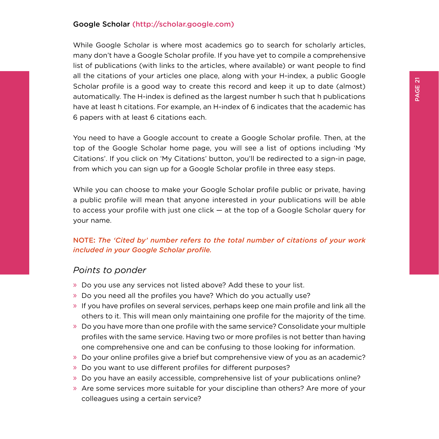#### Google Scholar (http://scholar.google.com)

While Google Scholar is where most academics go to search for scholarly articles. many don't have a Google Scholar profile. If you have yet to compile a comprehensive list of publications (with links to the articles, where available) or want people to find all the citations of your articles one place, along with your H-index, a public Google Scholar profile is a good way to create this record and keep it up to date (almost) automatically. The H-index is defined as the largest number h such that h publications have at least h citations. For example, an H-index of 6 indicates that the academic has 6 papers with at least 6 citations each.

You need to have a Google account to create a Google Scholar profile. Then, at the top of the Google Scholar home page, you will see a list of options including 'My Citations'. If you click on 'My Citations' button, you'll be redirected to a sign-in page, from which you can sign up for a Google Scholar profile in three easy steps.

While you can choose to make your Google Scholar profile public or private, having a public profile will mean that anyone interested in your publications will be able to access your profile with just one click — at the top of a Google Scholar query for your name.

#### NOTE**:** *The 'Cited by' number refers to the total number of citations of your work included in your Google Scholar profile.*

#### *Points to ponder*

- » Do you use any services not listed above? Add these to your list.
- » Do you need all the profiles you have? Which do you actually use?
- » If you have profiles on several services, perhaps keep one main profile and link all the others to it. This will mean only maintaining one profile for the majority of the time.
- » Do you have more than one profile with the same service? Consolidate your multiple profiles with the same service. Having two or more profiles is not better than having one comprehensive one and can be confusing to those looking for information.
- » Do your online profiles give a brief but comprehensive view of you as an academic?
- » Do you want to use different profiles for different purposes?
- » Do you have an easily accessible, comprehensive list of your publications online?
- » Are some services more suitable for your discipline than others? Are more of your colleagues using a certain service?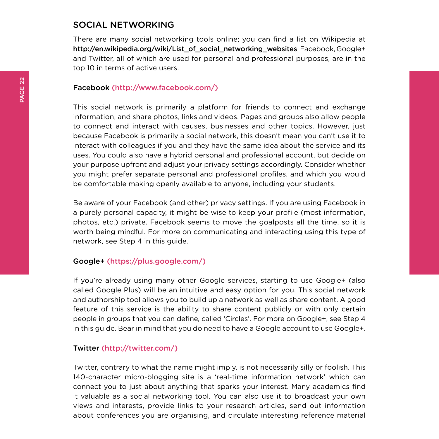#### <span id="page-23-0"></span>SOCIAL NETWORKING

There are many social networking tools online; you can find a list on Wikipedia at http://en.wikipedia.org/wiki/List\_of\_social\_networking\_websites. Facebook, Google+ and Twitter, all of which are used for personal and professional purposes, are in the top 10 in terms of active users.

#### Facebook (http://www.facebook.com/)

This social network is primarily a platform for friends to connect and exchange information, and share photos, links and videos. Pages and groups also allow people to connect and interact with causes, businesses and other topics. However, just because Facebook is primarily a social network, this doesn't mean you can't use it to interact with colleagues if you and they have the same idea about the service and its uses. You could also have a hybrid personal and professional account, but decide on your purpose upfront and adjust your privacy settings accordingly. Consider whether you might prefer separate personal and professional profiles, and which you would be comfortable making openly available to anyone, including your students.

Be aware of your Facebook (and other) privacy settings. If you are using Facebook in a purely personal capacity, it might be wise to keep your profile (most information, photos, etc.) private. Facebook seems to move the goalposts all the time, so it is worth being mindful. For more on communicating and interacting using this type of network, see Step 4 in this guide.

#### Google+ (https://plus.google.com/)

If you're already using many other Google services, starting to use Google+ (also called Google Plus) will be an intuitive and easy option for you. This social network and authorship tool allows you to build up a network as well as share content. A good feature of this service is the ability to share content publicly or with only certain people in groups that you can define, called 'Circles'. For more on Google+, see Step 4 in this guide. Bear in mind that you do need to have a Google account to use Google+.

#### Twitter (http://twitter.com/)

Twitter, contrary to what the name might imply, is not necessarily silly or foolish. This 140-character micro-blogging site is a 'real-time information network' which can connect you to just about anything that sparks your interest. Many academics find it valuable as a social networking tool. You can also use it to broadcast your own views and interests, provide links to your research articles, send out information about conferences you are organising, and circulate interesting reference material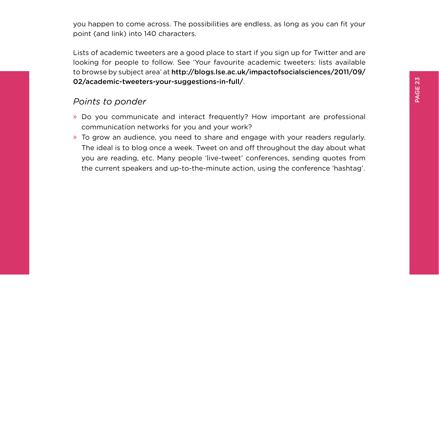you happen to come across. The possibilities are endless, as long as you can fit your point (and link) into 140 characters.

Lists of academic tweeters are a good place to start if you sign up for Twitter and are looking for people to follow. See 'Your favourite academic tweeters: lists available to browse by subject area' at http://blogs.lse.ac.uk/impactofsocialsciences/2011/09/ 02/academic-tweeters-your-suggestions-in-full/.

### *Points to ponder*

- » Do you communicate and interact frequently? How important are professional communication networks for you and your work?
- » To grow an audience, you need to share and engage with your readers regularly. The ideal is to blog once a week. Tweet on and off throughout the day about what you are reading, etc. Many people 'live-tweet' conferences, sending quotes from the current speakers and up-to-the-minute action, using the conference 'hashtag'.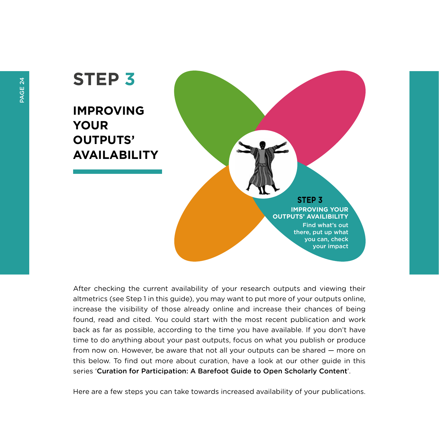# **STEP 3**

**IMPROVING YOUR OUTPUTS' AVAILABILITY**

## **STEP 3**

**IMPROVING YOUR OUTPUTS' AVAILIBILITY** Find what's out there, put up what you can, check your impact

After checking the current availability of your research outputs and viewing their altmetrics (see Step 1 in this guide), you may want to put more of your outputs online, increase the visibility of those already online and increase their chances of being found, read and cited. You could start with the most recent publication and work back as far as possible, according to the time you have available. If you don't have time to do anything about your past outputs, focus on what you publish or produce from now on. However, be aware that not all your outputs can be shared — more on this below. To find out more about curation, have a look at our other guide in this series 'Curation for Participation: A Barefoot Guide to Open Scholarly Content'.

Here are a few steps you can take towards increased availability of your publications.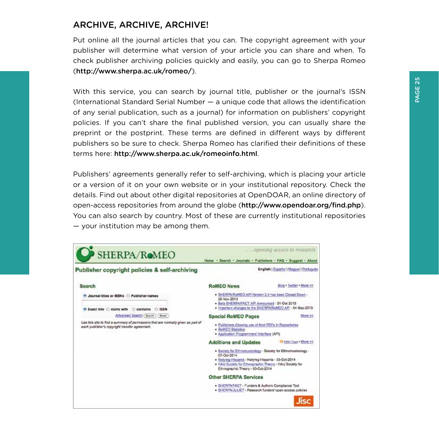## <span id="page-26-0"></span>ARCHIVE, ARCHIVE, ARCHIVE!

Put online all the journal articles that you can. The copyright agreement with your publisher will determine what version of your article you can share and when. To check publisher archiving policies quickly and easily, you can go to Sherpa Romeo (http://www.sherpa.ac.uk/romeo/).

With this service, you can search by journal title, publisher or the journal's ISSN (International Standard Serial Number — a unique code that allows the identification of any serial publication, such as a journal) for information on publishers' copyright policies. If you can't share the final published version, you can usually share the preprint or the postprint. These terms are defined in different ways by different publishers so be sure to check. Sherpa Romeo has clarified their definitions of these terms here: http://www.sherpa.ac.uk/romeoinfo.html.

Publishers' agreements generally refer to self-archiving, which is placing your article or a version of it on your own website or in your institutional repository. Check the details. Find out about other digital repositories at OpenDOAR, an online directory of open-access repositories from around the globe (http://www.opendoar.org/find.php). You can also search by country. Most of these are currently institutional repositories — your institution may be among them.

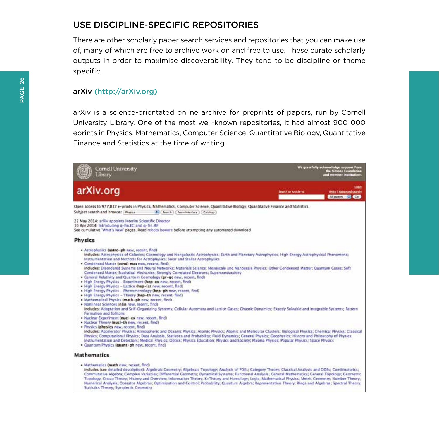## <span id="page-27-0"></span>USE DISCIPLINE-SPECIFIC REPOSITORIES

There are other scholarly paper search services and repositories that you can make use of, many of which are free to archive work on and free to use. These curate scholarly outputs in order to maximise discoverability. They tend to be discipline or theme specific.

#### arXiv (http://arXiv.org)

arXiv is a science-orientated online archive for preprints of papers, run by Cornell University Library. One of the most well-known repositories, it had almost 900 000 eprints in Physics, Mathematics, Computer Science, Quantitative Biology, Quantitative Finance and Statistics at the time of writing.

| Cornell University<br>Library                                                                                                                                                                                                                                                                                                                                                                                                                                                                                                                                                                                                                                                                                                                                                                                                                                                                                                                                                                                                                                                                                                                                                                                                                                                                                                                                                                                                                                                                                                                                                                                                                                                                                                                                                                                                                                                                                  | We grassfully acknowledge support from<br>the Simons Foundation<br>and member institutions |
|----------------------------------------------------------------------------------------------------------------------------------------------------------------------------------------------------------------------------------------------------------------------------------------------------------------------------------------------------------------------------------------------------------------------------------------------------------------------------------------------------------------------------------------------------------------------------------------------------------------------------------------------------------------------------------------------------------------------------------------------------------------------------------------------------------------------------------------------------------------------------------------------------------------------------------------------------------------------------------------------------------------------------------------------------------------------------------------------------------------------------------------------------------------------------------------------------------------------------------------------------------------------------------------------------------------------------------------------------------------------------------------------------------------------------------------------------------------------------------------------------------------------------------------------------------------------------------------------------------------------------------------------------------------------------------------------------------------------------------------------------------------------------------------------------------------------------------------------------------------------------------------------------------------|--------------------------------------------------------------------------------------------|
| arXiv.org                                                                                                                                                                                                                                                                                                                                                                                                                                                                                                                                                                                                                                                                                                                                                                                                                                                                                                                                                                                                                                                                                                                                                                                                                                                                                                                                                                                                                                                                                                                                                                                                                                                                                                                                                                                                                                                                                                      | task<br>Search or Article-Id<br><b><i>Ofelp I Advanced searchi</i></b><br>All papers (Col) |
| Open access to 977,817 e-prints in Physics, Mathematics, Computer Science, Quantitative Biology, Quantitative Finance and Statistics<br>Subject search and browse: : Piysics-<br>181 Search<br>[ Form interface ] [ Catchup                                                                                                                                                                                                                                                                                                                                                                                                                                                                                                                                                                                                                                                                                                                                                                                                                                                                                                                                                                                                                                                                                                                                                                                                                                                                                                                                                                                                                                                                                                                                                                                                                                                                                    |                                                                                            |
| 22 May 2014: arXly appoints Interlim Scientific Director<br>10 Apr 2014: Introducing g-fin.EC and g-fin.MF<br>See cumulative "What's New" pages. Read robots beware before attempting any automated download                                                                                                                                                                                                                                                                                                                                                                                                                                                                                                                                                                                                                                                                                                                                                                                                                                                                                                                                                                                                                                                                                                                                                                                                                                                                                                                                                                                                                                                                                                                                                                                                                                                                                                   |                                                                                            |
| <b>Physics</b>                                                                                                                                                                                                                                                                                                                                                                                                                                                                                                                                                                                                                                                                                                                                                                                                                                                                                                                                                                                                                                                                                                                                                                                                                                                                                                                                                                                                                                                                                                                                                                                                                                                                                                                                                                                                                                                                                                 |                                                                                            |
| · Astrophysics (astro-ph new, recent, find)<br>includes: Astrophysics of Galaxies; Cosmology and Nongalactic Astrophysics; Earth and Planetary Astrophysics. High Energy Astrophysical Phenomena;<br>Instrumentation and Methods for Astrophysics; Solar and Stellar Astrophysics<br>. Condensed Matter (cond-mat new, recent, find)<br>includes: Disordered Systems and Neural Networks; Materials Science; Mesoscale and Nanoscale Physics; Other Condensed Matter; Quantum Cases; Soft<br>Condensed Matter; Statistical Mechanics: Strongly Correlated Electrons; Superconductivity<br>. Ceneral Relativity and Quartum Cosmology (gr-gc new, recent, find)<br>. High Energy Physics - Experiment (hep-ex new, recent, find)<br>. High Energy Physics - Lattice thep-lat new, recent, find)<br>. High Energy Physics - Phenomenology (hep-ph new, recent, find)<br>. High Energy Physics - Theory (hep-th new, recent, fied)<br>· Mathematical Physics (math-ph new, recent, find)<br>. Nonlinear Sciences infin new, recent, find)<br>includes: Adaptation and Self-Organizing Systems: Cellular Automata and Lattice Gases; Chaotic Dynamics; Exactly Solvable and integrable Systems; Pattern<br>Formation and Solitons<br>. Nuclear Experiment (nucl-ex new, recent, find)<br>. Nuclear Theory (nucl-th new, recent, find)<br>· Physics (physics new, recent, find)<br>includes: Accelerator Physics; Atmospheric and Oceanic Physics; Atomic Physics; Atomic and Molecular Clusters; Biological Physics; Chemical Physics; Classical<br>Physics: Computational Physics: Data Analysis, Statistics and Probability: Fluid Dynamics: General Physics: Geophysics: History and Philosophy of Physics:<br>Instrumentation and Detectors; Medical Physics; Optics; Physics Education: Physics and Society; Plasma Physics; Popular Physics; Space Physics<br>· Quantum Physics (quant-ph new, recent, find) |                                                                                            |
| <b>Mathematics</b>                                                                                                                                                                                                                                                                                                                                                                                                                                                                                                                                                                                                                                                                                                                                                                                                                                                                                                                                                                                                                                                                                                                                                                                                                                                                                                                                                                                                                                                                                                                                                                                                                                                                                                                                                                                                                                                                                             |                                                                                            |
| · Mathematics (math new, recent, find)<br>includes isee detailed description): Algebraic Ceometry; Algebraic Topology; Analysis of PDEs; Category Theory; Classical Analysis and ODEs; Combinatorics;<br>Commutative Algebra; Complex Variables; Differential Geometry; Dynamical Systems; Functional Analysis; General Mathematics; General Topology; Geometric<br>Topology; Croup Theory; History and Overview; Information Theory; K-Theory and Homology; Logic; Mathematical Physics; Metric Ceometry; Number Theory;<br>Numerical Analysis: Operator Algebras: Optimization and Control: Probability: Quantum Algebra: Representation Theory: Rings and Algebras: Spectral Theory:<br>Statistics Theory: Symplectic Cecrnetry                                                                                                                                                                                                                                                                                                                                                                                                                                                                                                                                                                                                                                                                                                                                                                                                                                                                                                                                                                                                                                                                                                                                                                             |                                                                                            |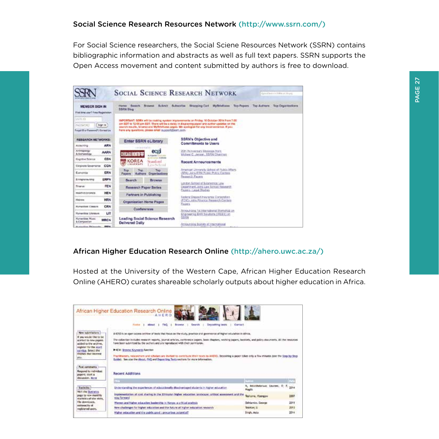For Social Science researchers, the Social Sciene Resources Network (SSRN) contains bibliographic information and abstracts as well as full text papers. SSRN supports the Open Access movement and content submitted by authors is free to download.

|                                                                           | <b>SOCIAL SCIENCE RESEARCH NETWORK</b>                                                                                                     | Calculation in Friday at the party                                                                                                                                                         |
|---------------------------------------------------------------------------|--------------------------------------------------------------------------------------------------------------------------------------------|--------------------------------------------------------------------------------------------------------------------------------------------------------------------------------------------|
| <b>MEMBER SIGN IN</b><br>First time year? Freo Registration.              | Rowse School Schutzter<br>Harres Bassots<br>SISPIN HAND                                                                                    | <b>Miscolng Carl MyBridgess</b><br>Ties Pagers<br>The Authors Top Organizations                                                                                                            |
| <b>UURIO</b><br><b>Sign In</b><br>PANWORD<br>Final D in Ferrari (Consult) | nearch results, browse and MyBrtelcave pages. We apply for any incorrections, if you<br>have any questions, please email support/beam.com. | IMPORTANT: SSRN will be roaking audient improvements on Priday, 16 Dictator 1014 from 7:00<br>on \$Df to 12:00 pm EDT. There will be a dalby in displaying paper are suther updates on the |
| <b>CARDON COMPANY</b><br><b>RESEARCH NETWORKS:</b>                        | Enter SSRN eLibrary                                                                                                                        | SSRN's Objective and                                                                                                                                                                       |
| <b>ARN</b><br>Accounting                                                  |                                                                                                                                            | <b>Commitments to Users</b>                                                                                                                                                                |
| Anthropology<br><b>AARN</b><br>& Archeesings                              | ecgi<br>A PERMIT (FREND                                                                                                                    | 20th Pennwreary Message from:<br>Michael C. Jersee, SSRN Charmen                                                                                                                           |
| CSN<br><b>Gaptive Science</b>                                             | <b>College In the McGlade</b><br><b>KOREA</b><br>Stanford                                                                                  | Recent Announcements                                                                                                                                                                       |
| CON<br>Corporate Governance                                               | <b>MORESTER</b><br>Letterbeheid.                                                                                                           |                                                                                                                                                                                            |
| ERN<br>European                                                           | Too<br>$-700$<br>Top<br><b>Drustilastines</b><br>Authora<br>Popers                                                                         | American University School of Public Affairs<br>(MAI) Joins ERN Public Police Cactors                                                                                                      |
| ERPN<br>Enmonwauranz                                                      | <b>Search</b><br>Browse                                                                                                                    | Report Farmy                                                                                                                                                                               |
| <b>FEN</b><br><b>Tirumot</b>                                              | Research Paper Series                                                                                                                      | London Silhool of Economics Law<br>Department Joyra Law School Nesearch<br>Pauten-Legal Bluden                                                                                             |
| <b>HEN</b><br><b>Haalfi Economist</b>                                     | Partners in Publishing                                                                                                                     |                                                                                                                                                                                            |
| <b>HELV</b><br><b>Abdurance</b>                                           | Organization Home Pages                                                                                                                    | Federal Deposit Insurance Corporation<br><b>POCLAIRS Finance Research Content</b>                                                                                                          |
| <b>Numatricia Cisagos</b><br><b>CRN</b>                                   | Conferences                                                                                                                                | <b>Pager's</b>                                                                                                                                                                             |
| <b>Hynanikes Lierence</b><br><b>LIT</b>                                   |                                                                                                                                            | Announcers Tst International Workshop (m.<br>Engineering EHR Southors CASES Lon                                                                                                            |
| <b>Harackies Marie</b><br><b>MRCN</b><br><b>L</b> Céripositor             | <b>Leading Social Science Research</b><br>Delivered Daily                                                                                  | 533%                                                                                                                                                                                       |
| <b>March Collinson Professionals</b><br><b>GREEN</b>                      |                                                                                                                                            | hrnouncing Sociaty ef International                                                                                                                                                        |

#### African Higher Education Research Online (http://ahero.uwc.ac.za/)

Hosted at the University of the Western Cape, African Higher Education Research Online (AHERO) curates shareable scholarly outputs about higher education in Africa.

|                                                                                                                                                                                                                                             | AHERO<br>tearch<br>Cantalt<br><b>Hooks</b><br><b>PAO</b><br>Decimational taxets                                                                                                                                                                                                                                                                                                                                                                                                                                                                                                         |                                         |      |
|---------------------------------------------------------------------------------------------------------------------------------------------------------------------------------------------------------------------------------------------|-----------------------------------------------------------------------------------------------------------------------------------------------------------------------------------------------------------------------------------------------------------------------------------------------------------------------------------------------------------------------------------------------------------------------------------------------------------------------------------------------------------------------------------------------------------------------------------------|-----------------------------------------|------|
| New submissions<br>If you would like to be<br>allerted to now capers.<br>acided to the archive.<br>neglisher for the Alart.<br>service, Select the<br>theeres dust los mest<br>you.                                                         | 4/ETCI is an open access archive of back that finish an the study, practice and governance of higher education in Africa,<br>The collection includes research reports, sourcel articles, conference capers, book chippens, working begans, booklets, and policy documents. All the resources<br>tures been automitized by the puthers and are reproduced with their purmission.<br>P. Killer, Segment Keymonds Rateriors<br>Practitioners, neiserchare and siduriars are shutted to contribute their texts to ANERO, Dossitting a paper toket only a few minutes (see the Step by Dire- |                                         |      |
|                                                                                                                                                                                                                                             | Guide). See plus the About, FAQ and Depositing Texts sections for more information.<br>Recent Additions                                                                                                                                                                                                                                                                                                                                                                                                                                                                                 |                                         |      |
|                                                                                                                                                                                                                                             | <b>11.13</b>                                                                                                                                                                                                                                                                                                                                                                                                                                                                                                                                                                            |                                         |      |
|                                                                                                                                                                                                                                             | Uniterstanding the experiences of aductionally disadvantaged students in higher aducation                                                                                                                                                                                                                                                                                                                                                                                                                                                                                               | N. MAUTIMARINAE ENJOYE, E. R.<br>Magdia | 3314 |
|                                                                                                                                                                                                                                             | implementation of cost sharing in the Ethiopian higher education ishdacape: critical assessment and the<br>was forward                                                                                                                                                                                                                                                                                                                                                                                                                                                                  | Techame, Yasneare                       | 3307 |
|                                                                                                                                                                                                                                             | Werner and higher education basketing in Kenya; a critical enablels                                                                                                                                                                                                                                                                                                                                                                                                                                                                                                                     | Odhiambo, George                        | 3011 |
| Post cummeres<br>Respond to individual<br>papers: stort a<br>discussion, Morw.<br><b>Institution</b><br>We're the Statistics<br>page to virw monthly<br>statistics of site visits.<br>The downloads.<br>netionality of<br>registered users. | New challenges for higher education and the future of higher education resiscoly                                                                                                                                                                                                                                                                                                                                                                                                                                                                                                        | Telebler, II                            | 3011 |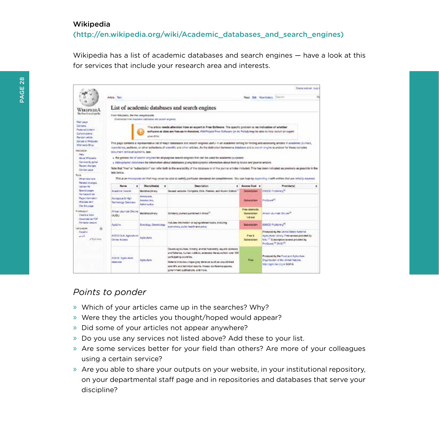#### Wikipedia

(http://en.wikipedia.org/wiki/Academic\_databases\_and\_search\_engines)

Wikipedia has a list of academic databases and search engines — have a look at this for services that include your research area and interests.

|                                                                                                                                                                                                                                                                  |                                               |                                                            |                                                                                                                                                                                                                                                                                                                                                                                                                                           |                                                                  | Dragat policitum: Log is                                                                                                                                                  |  |
|------------------------------------------------------------------------------------------------------------------------------------------------------------------------------------------------------------------------------------------------------------------|-----------------------------------------------|------------------------------------------------------------|-------------------------------------------------------------------------------------------------------------------------------------------------------------------------------------------------------------------------------------------------------------------------------------------------------------------------------------------------------------------------------------------------------------------------------------------|------------------------------------------------------------------|---------------------------------------------------------------------------------------------------------------------------------------------------------------------------|--|
|                                                                                                                                                                                                                                                                  | Ariou Tax                                     |                                                            |                                                                                                                                                                                                                                                                                                                                                                                                                                           |                                                                  | a<br>Read Edit. Mow findany. Sheriff                                                                                                                                      |  |
| WIKIPEDIA                                                                                                                                                                                                                                                        |                                               |                                                            | List of academic databases and search engines                                                                                                                                                                                                                                                                                                                                                                                             |                                                                  |                                                                                                                                                                           |  |
|                                                                                                                                                                                                                                                                  | From Wilcoad's, the free encyclopade.         | (Fastesized tree) Analysis zalithance will accent angeless |                                                                                                                                                                                                                                                                                                                                                                                                                                           |                                                                  |                                                                                                                                                                           |  |
| This article needs altention tross an expert in Free Software. The specific problem is: no indication of whether<br>egitizate as data are free-se-in-freedom. Walfright Fron Saltzare for its Portal) may be able to help recruit an expert.<br><b>Mani 2016</b> |                                               |                                                            |                                                                                                                                                                                                                                                                                                                                                                                                                                           |                                                                  |                                                                                                                                                                           |  |
|                                                                                                                                                                                                                                                                  | document remeval systems, see:                |                                                            | This page contains a representative lat of major databases and search engines useful in an academic setting for finding and accessing articles in academic (currain,<br>motolonics, and times, or other collections of scientific and other articles. As the diatingition between a diatabase and a search engine to unstead for these complex                                                                                            |                                                                  |                                                                                                                                                                           |  |
|                                                                                                                                                                                                                                                                  |                                               |                                                            | . The general list of search engines for all-purpose search engines that can be used for adademic purposes<br>. bibliographic detaitates for information about detebenes giving bibliographic information ébout finding books and journal articles.<br>Note that "tree" or "subscription" can refer both to the availability of the distabase or of the journal arbites included. This has been indicated as predicely as possible in the |                                                                  |                                                                                                                                                                           |  |
|                                                                                                                                                                                                                                                                  | lets below                                    |                                                            | This as an incorporate lefthat may never be attack sailing particular atendance for completeness. You can help by oxympting it with entries that we reliably novered.                                                                                                                                                                                                                                                                     |                                                                  |                                                                                                                                                                           |  |
|                                                                                                                                                                                                                                                                  | <b>Married</b>                                | <b>Discutational all</b><br>٠                              | <b>Description</b><br>٠                                                                                                                                                                                                                                                                                                                                                                                                                   | <b>Access Cost</b> a                                             | Providental<br>٠                                                                                                                                                          |  |
|                                                                                                                                                                                                                                                                  | Academy Supple                                | Multidian island                                           | Teures unrains Complete, Elite, Penisse, and Alumn Edition                                                                                                                                                                                                                                                                                                                                                                                | <b>Subscribers</b>                                               | ESSEXI PLANNING <sup>R</sup>                                                                                                                                              |  |
|                                                                                                                                                                                                                                                                  | Airosocia & Ham<br><b>Tacheology Outstand</b> | <b>Assistance</b><br>Associations.<br>Advised Rive         |                                                                                                                                                                                                                                                                                                                                                                                                                                           | <b>Subsidiary State</b>                                          | <b><i>Produce</i></b> <sup>25</sup>                                                                                                                                       |  |
|                                                                                                                                                                                                                                                                  | Atrager Jasumula DeLine<br><b>LIQUI</b>       | Municipalitary                                             | Scholarly Journals published in Africa <sup>nt</sup>                                                                                                                                                                                                                                                                                                                                                                                      | <b>Fies started a</b><br><b><i>Elektrichine</i></b><br>full-blat | Attack-Journals OnLow <sup>16</sup>                                                                                                                                       |  |
|                                                                                                                                                                                                                                                                  | Apd.I've.                                     | Sorobgy, Serettukey                                        | indudes information on aging-related topics, including<br>alonomics, putter health and policy.                                                                                                                                                                                                                                                                                                                                            | <b>Newton</b>                                                    | EBSCO Publicano <sup>77</sup>                                                                                                                                             |  |
|                                                                                                                                                                                                                                                                  | AGRICOLA: Agricultural<br>Orine Acouse        | Autouture                                                  |                                                                                                                                                                                                                                                                                                                                                                                                                                           | Free &<br><b>But exclusively</b>                                 | Produced by the United States National<br>Astoultural Library. Free architek provided by-<br>Is N. " Subscription access provided by<br>Produced, <sup>19</sup> Durib, PI |  |
|                                                                                                                                                                                                                                                                  |                                               |                                                            | Dovers aproximes, forestly, animal husbandly, aquelid adventers.<br>and fisheries, human ruttition, extension literature from over 100.                                                                                                                                                                                                                                                                                                   |                                                                  | Produced by the Food and Agriculture                                                                                                                                      |  |

#### *Points to ponder*

- » Which of your articles came up in the searches? Why?
- » Were they the articles you thought/hoped would appear?
- » Did some of your articles not appear anywhere?
- » Do you use any services not listed above? Add these to your list.
- » Are some services better for your field than others? Are more of your colleagues using a certain service?
- » Are you able to share your outputs on your website, in your institutional repository, on your departmental staff page and in repositories and databases that serve your discipline?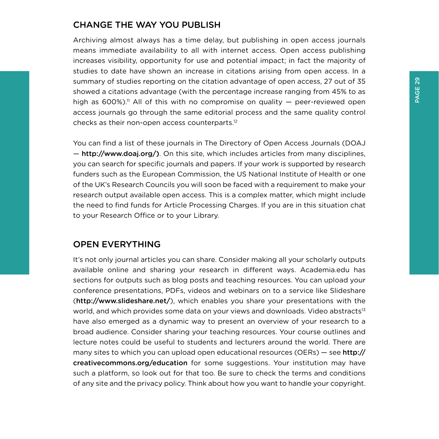## <span id="page-30-0"></span>CHANGE THE WAY YOU PUBLISH

Archiving almost always has a time delay, but publishing in open access journals means immediate availability to all with internet access. Open access publishing increases visibility, opportunity for use and potential impact; in fact the majority of studies to date have shown an increase in citations arising from open access. In a summary of studies reporting on the citation advantage of open access, 27 out of 35 showed a citations advantage (with the percentage increase ranging from 45% to as high as  $600\%$ ).<sup>11</sup> All of this with no compromise on quality  $-$  peer-reviewed open access journals go through the same editorial process and the same quality control checks as their non-open access counterparts.12

You can find a list of these journals in The Directory of Open Access Journals (DOAJ — http://www.doaj.org/). On this site, which includes articles from many disciplines, you can search for specific journals and papers. If your work is supported by research funders such as the European Commission, the US National Institute of Health or one of the UK's Research Councils you will soon be faced with a requirement to make your research output available open access. This is a complex matter, which might include the need to find funds for Article Processing Charges. If you are in this situation chat to your Research Office or to your Library.

## OPEN EVERYTHING

It's not only journal articles you can share. Consider making all your scholarly outputs available online and sharing your research in different ways. Academia.edu has sections for outputs such as blog posts and teaching resources. You can upload your conference presentations, PDFs, videos and webinars on to a service like Slideshare (http://www.slideshare.net/), which enables you share your presentations with the world, and which provides some data on your views and downloads. Video abstracts<sup>13</sup> have also emerged as a dynamic way to present an overview of your research to a broad audience. Consider sharing your teaching resources. Your course outlines and lecture notes could be useful to students and lecturers around the world. There are many sites to which you can upload open educational resources (OERs) – see http:// creativecommons.org/education for some suggestions. Your institution may have such a platform, so look out for that too. Be sure to check the terms and conditions of any site and the privacy policy. Think about how you want to handle your copyright.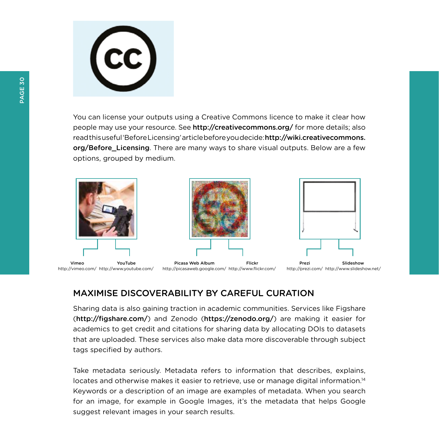

You can license your outputs using a Creative Commons licence to make it clear how people may use your resource. See http://creativecommons.org/ for more details; also read this useful 'Before Licensing' article before you decide: http://wiki.creativecommons. org/Before\_Licensing. There are many ways to share visual outputs. Below are a few options, grouped by medium.



## MAXIMISE DISCOVERABILITY BY CAREFUL CURATION

Sharing data is also gaining traction in academic communities. Services like Figshare (http://figshare.com/) and Zenodo (https://zenodo.org/) are making it easier for academics to get credit and citations for sharing data by allocating DOIs to datasets that are uploaded. These services also make data more discoverable through subject tags specified by authors.

Take metadata seriously. Metadata refers to information that describes, explains, locates and otherwise makes it easier to retrieve, use or manage digital information.<sup>14</sup> Keywords or a description of an image are examples of metadata. When you search for an image, for example in Google Images, it's the metadata that helps Google suggest relevant images in your search results.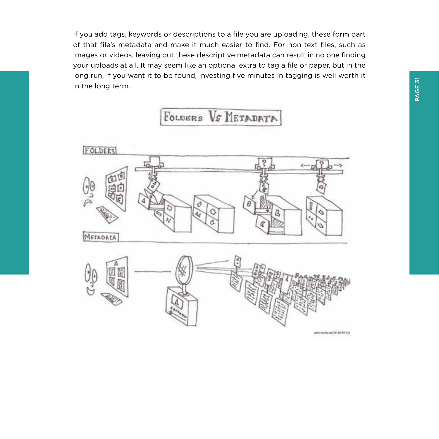If you add tags, keywords or descriptions to a file you are uploading, these form part of that file's metadata and make it much easier to find. For non-text files, such as images or videos, leaving out these descriptive metadata can result in no one finding your uploads at all. It may seem like an optional extra to tag a file or paper, but in the long run, if you want it to be found, investing five minutes in tagging is well worth it in the long term.

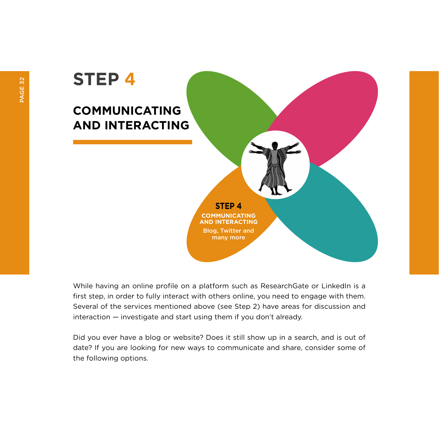# **STEP 4**

## **COMMUNICATING AND INTERACTING**

**STEP 4 COMMUNICATING AND INTERACTING** Blog, Twitter and many more

While having an online profile on a platform such as ResearchGate or LinkedIn is a first step, in order to fully interact with others online, you need to engage with them. Several of the services mentioned above (see Step 2) have areas for discussion and interaction — investigate and start using them if you don't already.

Did you ever have a blog or website? Does it still show up in a search, and is out of date? If you are looking for new ways to communicate and share, consider some of the following options.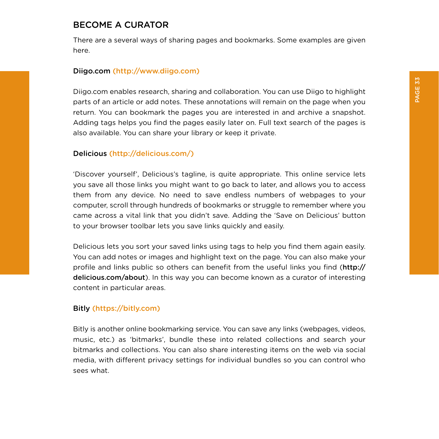## <span id="page-34-0"></span>BECOME A CURATOR

There are a several ways of sharing pages and bookmarks. Some examples are given here.

#### Diigo.com (http://www.diigo.com)

Diigo.com enables research, sharing and collaboration. You can use Diigo to highlight parts of an article or add notes. These annotations will remain on the page when you return. You can bookmark the pages you are interested in and archive a snapshot. Adding tags helps you find the pages easily later on. Full text search of the pages is also available. You can share your library or keep it private.

#### Delicious (http://delicious.com/)

'Discover yourself', Delicious's tagline, is quite appropriate. This online service lets you save all those links you might want to go back to later, and allows you to access them from any device. No need to save endless numbers of webpages to your computer, scroll through hundreds of bookmarks or struggle to remember where you came across a vital link that you didn't save. Adding the 'Save on Delicious' button to your browser toolbar lets you save links quickly and easily.

Delicious lets you sort your saved links using tags to help you find them again easily. You can add notes or images and highlight text on the page. You can also make your profile and links public so others can benefit from the useful links you find (http:// delicious.com/about). In this way you can become known as a curator of interesting content in particular areas.

#### Bitly (https://bitly.com)

Bitly is another online bookmarking service. You can save any links (webpages, videos, music, etc.) as 'bitmarks', bundle these into related collections and search your bitmarks and collections. You can also share interesting items on the web via social media, with different privacy settings for individual bundles so you can control who sees what.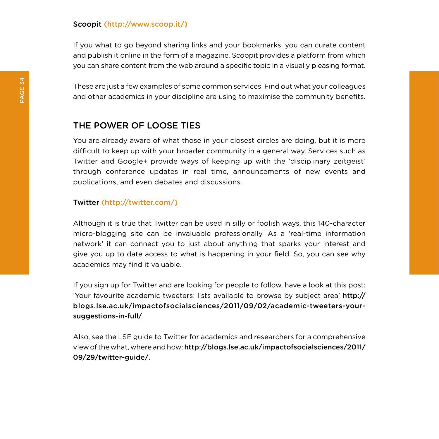#### <span id="page-35-0"></span>Scoopit (http://www.scoop.it/)

If you what to go beyond sharing links and your bookmarks, you can curate content and publish it online in the form of a magazine. Scoopit provides a platform from which you can share content from the web around a specific topic in a visually pleasing format.

These are just a few examples of some common services. Find out what your colleagues and other academics in your discipline are using to maximise the community benefits.

## THE POWER OF LOOSE TIES

You are already aware of what those in your closest circles are doing, but it is more difficult to keep up with your broader community in a general way. Services such as Twitter and Google+ provide ways of keeping up with the 'disciplinary zeitgeist' through conference updates in real time, announcements of new events and publications, and even debates and discussions.

#### Twitter (http://twitter.com/)

Although it is true that Twitter can be used in silly or foolish ways, this 140-character micro-blogging site can be invaluable professionally. As a 'real-time information network' it can connect you to just about anything that sparks your interest and give you up to date access to what is happening in your field. So, you can see why academics may find it valuable.

If you sign up for Twitter and are looking for people to follow, have a look at this post: 'Your favourite academic tweeters: lists available to browse by subject area' http:// blogs.lse.ac.uk/impactofsocialsciences/2011/09/02/academic-tweeters-yoursuggestions-in-full/.

Also, see the LSE guide to Twitter for academics and researchers for a comprehensive view of the what, where and how: <http://blogs.lse.ac.uk/impactofsocialsciences/2011>/ 09/29/twitter-guide/.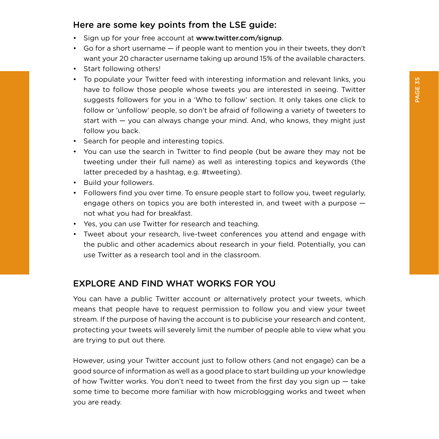## <span id="page-36-0"></span>Here are some key points from the LSE guide:

- Sign up for your free account at www.twitter.com/signup.
- Go for a short username if people want to mention you in their tweets, they don't want your 20 character username taking up around 15% of the available characters.
- Start following others!
- To populate your Twitter feed with interesting information and relevant links, you have to follow those people whose tweets you are interested in seeing. Twitter suggests followers for you in a 'Who to follow' section. It only takes one click to follow or 'unfollow' people, so don't be afraid of following a variety of tweeters to start with — you can always change your mind. And, who knows, they might just follow you back.
- Search for people and interesting topics.
- You can use the search in Twitter to find people (but be aware they may not be tweeting under their full name) as well as interesting topics and keywords (the latter preceded by a hashtag, e.g. #tweeting).
- Build your followers.
- Followers find you over time. To ensure people start to follow you, tweet regularly, engage others on topics you are both interested in, and tweet with a purpose not what you had for breakfast.
- Yes, you can use Twitter for research and teaching.
- Tweet about your research, live-tweet conferences you attend and engage with the public and other academics about research in your field. Potentially, you can use Twitter as a research tool and in the classroom.

### EXPLORE AND FIND WHAT WORKS FOR YOU

You can have a public Twitter account or alternatively protect your tweets, which means that people have to request permission to follow you and view your tweet stream. If the purpose of having the account is to publicise your research and content, protecting your tweets will severely limit the number of people able to view what you are trying to put out there.

However, using your Twitter account just to follow others (and not engage) can be a good source of information as well as a good place to start building up your knowledge of how Twitter works. You don't need to tweet from the first day you sign up  $-$  take some time to become more familiar with how microblogging works and tweet when you are ready.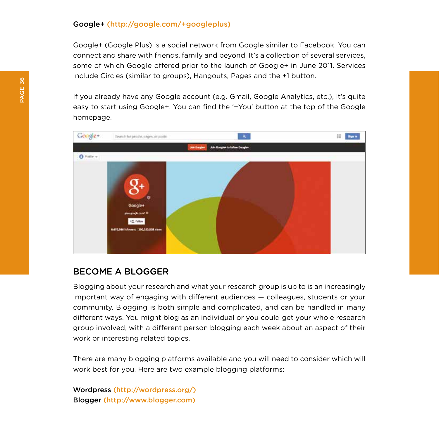#### <span id="page-37-0"></span>Google+ (http://google.com/+googleplus)

Google+ (Google Plus) is a social network from Google similar to Facebook. You can connect and share with friends, family and beyond. It's a collection of several services, some of which Google offered prior to the launch of Google+ in June 2011. Services include Circles (similar to groups), Hangouts, Pages and the +1 button.

If you already have any Google account (e.g. Gmail, Google Analytics, etc.), it's quite easy to start using Google+. You can find the '+You' button at the top of the Google homepage.



#### BECOME A BLOGGER

Blogging about your research and what your research group is up to is an increasingly important way of engaging with different audiences — colleagues, students or your community. Blogging is both simple and complicated, and can be handled in many different ways. You might blog as an individual or you could get your whole research group involved, with a different person blogging each week about an aspect of their work or interesting related topics.

There are many blogging platforms available and you will need to consider which will work best for you. Here are two example blogging platforms:

Wordpress (http://wordpress.org/) Blogger (http://www.blogger.com)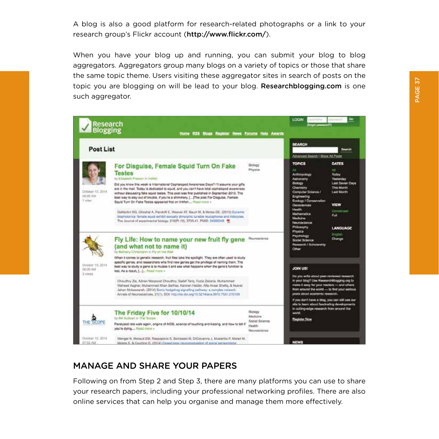<span id="page-38-0"></span>A blog is also a good platform for research-related photographs or a link to your research group's Flickr account (http://www.flickr.com/).

When you have your blog up and running, you can submit your blog to blog aggregators. Aggregators group many blogs on a variety of topics or those that share the same topic theme. Users visiting these aggregator sites in search of posts on the topic you are blogging on will be lead to your blog. Researchblogging.com is one such aggregator.

| <b>SEARCH</b><br><b>Post List</b><br>Advanced Search   Show All Fosta<br><b>TOPICS</b><br><b>DATES</b><br>Biology<br>For Disguise, Female Squid Turn On Fake<br>Physics<br>A3<br>A4<br><b>Testes</b><br>Anthropology<br>Today<br>by Elizabeth Pressuri in Instiah<br>Astronomy<br><b>Yesterday</b><br>Blokegy<br>Did you know this week is International Cophalopod Awareness Days? I'll assume your gifts<br>Chemistry<br>This Month<br>are in the mail. Today is dedicated to squid, and you can't have total oschalopod awareness.<br>Dresser 10: 2014<br>Computer Science /<br><b>Last Month</b><br>without discussing fake squid testes. This post was first published in September 2013. The<br>DB:00 AM<br>Engineering<br>best way to stay out of trouble. If you're a shimmery. [  The post For Disguise. Female<br>1 view<br>Ecclopy / Conservation<br>Squid Turn On Fake Testes appeared first on Interfact Read more a<br><b>VIEW</b><br>Cleonclericins<br><b>Health</b><br>DeMartini DG, Ghoshal A, Pandolfi E, Weaver AT, Baum M, & Moise DE, (2013) Dynamic<br>Mathematics<br>Pull.<br>biophotonics: famale squid axhibit sexually dimorphic tunable leucophores and indocytes.<br><b>Medeire</b><br>The Journal of experimental blokgy, 216(P) 19), 3733-41. PMID: 24006348<br>Nouroncience<br>Philosophy<br>Physics<br><b>Rygnals</b><br>Psychology<br>Fly Life: How to name your new fruit fly gene<br>Neuroscience<br>Change<br><b>Scicle! Science</b><br>Research / Scholarship<br>(and what not to name it)<br>Other<br>by Bethany Christmann in Fly on the Wall<br>When it comes to genetic research, fruit files take the spotlight. They are often used to study<br>specific genes, and researchers who find new genes get the privilege of naming them. The<br>October 10, 2014<br>best way to study a gono is to mutate it and see what happens when the gene's function is<br>JOIN UST<br>DE:00 AM<br>lost. As a result, [] Read more =<br>3 yews<br>Do you write about paer-reviewed research<br>in your blog? Use Researchillogging.org to<br>Choudhry Zia, Adnan Magsood Choudhry, Sadaf Tariq, Fozia Zakaria, Muhammad<br>make it easy for your readers - and others.<br>Waheed Asphar, Muhammod Khan Sarfraz, Kamran Halder, Afa Ansar Shafiq, & Nusrat.<br>from around the world - to find your serious<br>Jahan Mobassansh. (2014) Bonic hedgehog signafing pathway: a complex natwork.<br>pests about academic research.<br>Annals of Neumsciences, 21(1). DOI: http://dx.doi.org/10.5214/ans.0972.7531.210109<br>If you don't have a blog, you can still use our<br>site to learn about fascinating developments.<br>in cutting-edge research from ansurel the<br>The Friday Five for 10/10/14<br>Biotogy<br>world.<br>Medicina<br>by Bill Sudivan in The 'Scope<br><b>Rughter Now</b><br>Social Science<br>Paralyzed rats walk again, origins of AIDS, science of touching and kissing, and how to tell if<br>Health<br>you're dying Read room a<br>Neuroscienco | <b>Research</b><br>Blogging | <b>Home RSS</b><br><b>Bices Register</b> | News Forums Help Awards |                                                |
|------------------------------------------------------------------------------------------------------------------------------------------------------------------------------------------------------------------------------------------------------------------------------------------------------------------------------------------------------------------------------------------------------------------------------------------------------------------------------------------------------------------------------------------------------------------------------------------------------------------------------------------------------------------------------------------------------------------------------------------------------------------------------------------------------------------------------------------------------------------------------------------------------------------------------------------------------------------------------------------------------------------------------------------------------------------------------------------------------------------------------------------------------------------------------------------------------------------------------------------------------------------------------------------------------------------------------------------------------------------------------------------------------------------------------------------------------------------------------------------------------------------------------------------------------------------------------------------------------------------------------------------------------------------------------------------------------------------------------------------------------------------------------------------------------------------------------------------------------------------------------------------------------------------------------------------------------------------------------------------------------------------------------------------------------------------------------------------------------------------------------------------------------------------------------------------------------------------------------------------------------------------------------------------------------------------------------------------------------------------------------------------------------------------------------------------------------------------------------------------------------------------------------------------------------------------------------------------------------------------------------------------------------------------------------------------------------------------------------------------------------------------------------------------------------------------------------------------------------------------------------------------------------------------------------------------------------------------------------------------------------|-----------------------------|------------------------------------------|-------------------------|------------------------------------------------|
|                                                                                                                                                                                                                                                                                                                                                                                                                                                                                                                                                                                                                                                                                                                                                                                                                                                                                                                                                                                                                                                                                                                                                                                                                                                                                                                                                                                                                                                                                                                                                                                                                                                                                                                                                                                                                                                                                                                                                                                                                                                                                                                                                                                                                                                                                                                                                                                                                                                                                                                                                                                                                                                                                                                                                                                                                                                                                                                                                                                                      |                             |                                          |                         | Search                                         |
|                                                                                                                                                                                                                                                                                                                                                                                                                                                                                                                                                                                                                                                                                                                                                                                                                                                                                                                                                                                                                                                                                                                                                                                                                                                                                                                                                                                                                                                                                                                                                                                                                                                                                                                                                                                                                                                                                                                                                                                                                                                                                                                                                                                                                                                                                                                                                                                                                                                                                                                                                                                                                                                                                                                                                                                                                                                                                                                                                                                                      |                             |                                          |                         | Last Seven Days<br>Condemns<br><b>LANGUAGE</b> |
|                                                                                                                                                                                                                                                                                                                                                                                                                                                                                                                                                                                                                                                                                                                                                                                                                                                                                                                                                                                                                                                                                                                                                                                                                                                                                                                                                                                                                                                                                                                                                                                                                                                                                                                                                                                                                                                                                                                                                                                                                                                                                                                                                                                                                                                                                                                                                                                                                                                                                                                                                                                                                                                                                                                                                                                                                                                                                                                                                                                                      |                             |                                          |                         |                                                |
|                                                                                                                                                                                                                                                                                                                                                                                                                                                                                                                                                                                                                                                                                                                                                                                                                                                                                                                                                                                                                                                                                                                                                                                                                                                                                                                                                                                                                                                                                                                                                                                                                                                                                                                                                                                                                                                                                                                                                                                                                                                                                                                                                                                                                                                                                                                                                                                                                                                                                                                                                                                                                                                                                                                                                                                                                                                                                                                                                                                                      |                             |                                          |                         |                                                |

## MANAGE AND SHARE YOUR PAPERS

Following on from Step 2 and Step 3, there are many platforms you can use to share your research papers, including your professional networking profiles. There are also online services that can help you organise and manage them more effectively.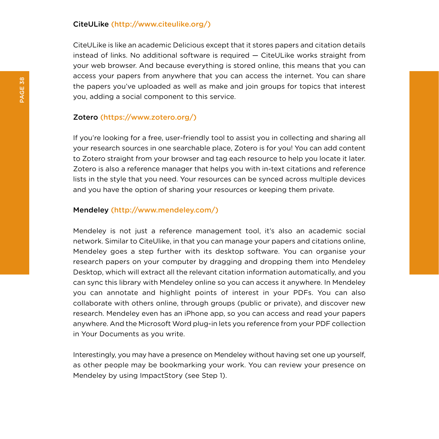#### CiteULike (http://www.citeulike.org/)

CiteULike is like an academic Delicious except that it stores papers and citation details instead of links. No additional software is required — CiteULike works straight from your web browser. And because everything is stored online, this means that you can access your papers from anywhere that you can access the internet. You can share the papers you've uploaded as well as make and join groups for topics that interest you, adding a social component to this service.

#### Zotero (https://www.zotero.org/)

If you're looking for a free, user-friendly tool to assist you in collecting and sharing all your research sources in one searchable place, Zotero is for you! You can add content to Zotero straight from your browser and tag each resource to help you locate it later. Zotero is also a reference manager that helps you with in-text citations and reference lists in the style that you need. Your resources can be synced across multiple devices and you have the option of sharing your resources or keeping them private.

#### Mendeley (http://www.mendeley.com/)

Mendeley is not just a reference management tool, it's also an academic social network. Similar to CiteUlike, in that you can manage your papers and citations online, Mendeley goes a step further with its desktop software. You can organise your research papers on your computer by dragging and dropping them into Mendeley Desktop, which will extract all the relevant citation information automatically, and you can sync this library with Mendeley online so you can access it anywhere. In Mendeley you can annotate and highlight points of interest in your PDFs. You can also collaborate with others online, through groups (public or private), and discover new research. Mendeley even has an iPhone app, so you can access and read your papers anywhere. And the Microsoft Word plug-in lets you reference from your PDF collection in Your Documents as you write.

Interestingly, you may have a presence on Mendeley without having set one up yourself, as other people may be bookmarking your work. You can review your presence on Mendeley by using ImpactStory (see Step 1).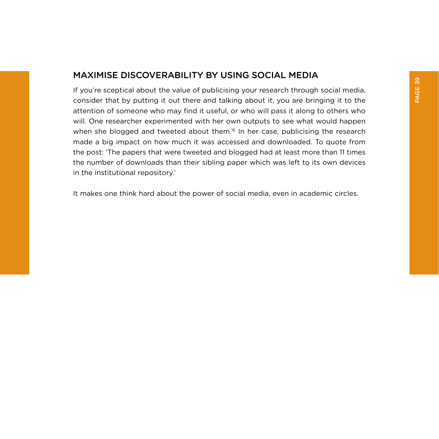## <span id="page-40-0"></span>MAXIMISE DISCOVERABILITY BY USING SOCIAL MEDIA

If you're sceptical about the value of publicising your research through social media, consider that by putting it out there and talking about it, you are bringing it to the attention of someone who may find it useful, or who will pass it along to others who will. One researcher experimented with her own outputs to see what would happen when she blogged and tweeted about them.<sup>16</sup> In her case, publicising the research made a big impact on how much it was accessed and downloaded. To quote from the post: 'The papers that were tweeted and blogged had at least more than 11 times the number of downloads than their sibling paper which was left to its own devices in the institutional repository.'

It makes one think hard about the power of social media, even in academic circles.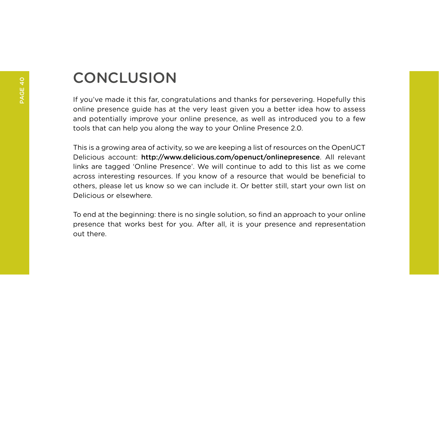# **CONCLUSION**

If you've made it this far, congratulations and thanks for persevering. Hopefully this online presence guide has at the very least given you a better idea how to assess and potentially improve your online presence, as well as introduced you to a few tools that can help you along the way to your Online Presence 2.0.

This is a growing area of activity, so we are keeping a list of resources on the OpenUCT Delicious account: http://www.delicious.com/openuct/onlinepresence. All relevant links are tagged 'Online Presence'. We will continue to add to this list as we come across interesting resources. If you know of a resource that would be beneficial to others, please let us know so we can include it. Or better still, start your own list on Delicious or elsewhere.

To end at the beginning: there is no single solution, so find an approach to your online presence that works best for you. After all, it is your presence and representation out there.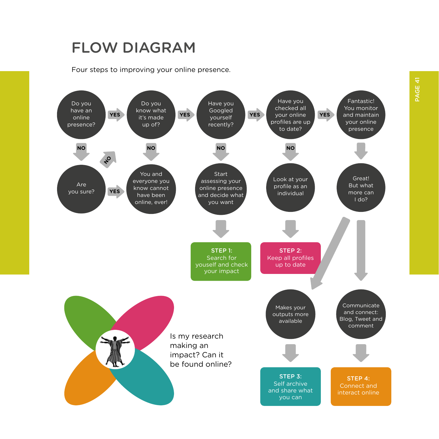# FLOW DIAGRAM

Four steps to improving your online presence.

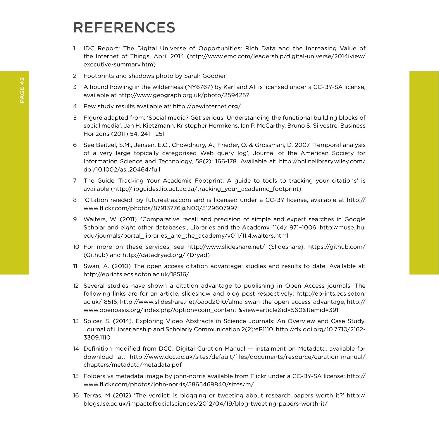# REFERENCES

- 1 IDC Report: The Digital Universe of Opportunities: Rich Data and the Increasing Value of the Internet of Things, April 2014 (http://www.emc.com/leadership/digital-universe/2014iview/ executive-summary.htm)
- 2 Footprints and shadows photo by Sarah Goodier
- 3 A hound howling in the wilderness (NY6767) by Karl and Ali is licensed under a CC-BY-SA license, available at http://www.geograph.org.uk/photo/2594257
- 4 Pew study results available at: http://pewinternet.org/
- 5 Figure adapted from: 'Social media? Get serious! Understanding the functional building blocks of social media', Jan H. Kietzmann, Kristopher Hermkens, Ian P. McCarthy, Bruno S. Silvestre. Business Horizons (2011) 54, 241—251
- 6 See Beitzel, S.M., Jensen, E.C., Chowdhury, A., Frieder, O. & Grossman, D. 2007, 'Temporal analysis of a very large topically categorised Web query log', Journal of the American Society for Information Science and Technology, 58(2): 166-178. Available at: http://onlinelibrary.wiley.com/ doi/10.1002/asi.20464/full
- 7 The Guide 'Tracking Your Academic Footprint: A guide to tools to tracking your citations' is available (http://libguides.lib.uct.ac.za/tracking\_your\_academic\_footprint)
- 8 'Citation needed' by futureatlas.com and is licensed under a CC-BY license, available at http:// www.flickr.com/photos/87913776@N00/5129607997
- 9 Walters, W. (2011). 'Comparative recall and precision of simple and expert searches in Google Scholar and eight other databases', Libraries and the Academy, 11(4): 971–1006. http://muse.jhu. edu/journals/portal\_libraries\_and\_the\_academy/v011/11.4.walters.html
- 10 For more on these services, see http://www.slideshare.net/ (Slideshare), https://github.com/ (Github) and http://datadryad.org/ (Dryad)
- 11 Swan, A. (2010) The open access citation advantage: studies and results to date. Available at: http://eprints.ecs.soton.ac.uk/18516/
- 12 Several studies have shown a citation advantage to publishing in Open Access journals. The following links are for an article, slideshow and blog post respectively: http://eprints.ecs.soton. ac.uk/18516, http://www.slideshare.net/oaod2010/alma-swan-the-open-access-advantage, http:// www.openoasis.org/index.php?option=com\_content &view=article&id=560&Itemid=391
- 13 Spicer, S. (2014). Exploring Video Abstracts in Science Journals: An Overview and Case Study. Journal of Librarianship and Scholarly Communication 2(2):eP1110. http://dx.doi.org/10.7710/2162- 3309.1110
- 14 Definition modified from DCC: Digital Curation Manual instalment on Metadata; available for download at: http://www.dcc.ac.uk/sites/default/files/documents/resource/curation-manual/ chapters/metadata/metadata.pdf
- 15 Folders vs metadata image by john-norris available from Flickr under a CC-BY-SA license: http:// www.flickr.com/photos/john-norris/5865469840/sizes/m/
- 16 Terras, M (2012) 'The verdict: is blogging or tweeting about research papers worth it?' http:// blogs.lse.ac.uk/impactofsocialsciences/2012/04/19/blog-tweeting-papers-worth-it/